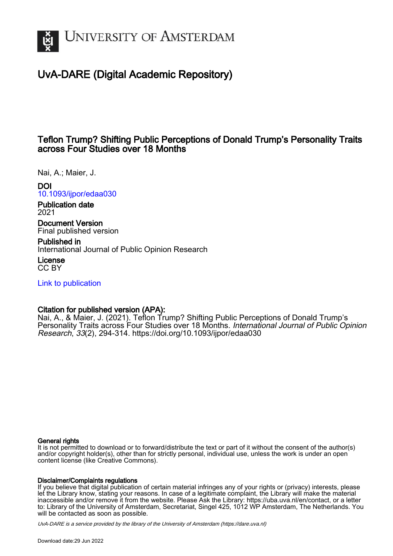

## UvA-DARE (Digital Academic Repository)

## Teflon Trump? Shifting Public Perceptions of Donald Trump's Personality Traits across Four Studies over 18 Months

Nai, A.; Maier, J.

### DOI

[10.1093/ijpor/edaa030](https://doi.org/10.1093/ijpor/edaa030)

Publication date 2021

Document Version Final published version

Published in International Journal of Public Opinion Research

License CC BY

[Link to publication](https://dare.uva.nl/personal/pure/en/publications/teflon-trump-shifting-public-perceptions-of-donald-trumps-personality-traits-across-four-studies-over-18-months(f3c4a570-4157-4c2e-8fe0-76d7c1f1ecbb).html)

## Citation for published version (APA):

Nai, A., & Maier, J. (2021). Teflon Trump? Shifting Public Perceptions of Donald Trump's Personality Traits across Four Studies over 18 Months. International Journal of Public Opinion Research, 33(2), 294-314.<https://doi.org/10.1093/ijpor/edaa030>

## General rights

It is not permitted to download or to forward/distribute the text or part of it without the consent of the author(s) and/or copyright holder(s), other than for strictly personal, individual use, unless the work is under an open content license (like Creative Commons).

## Disclaimer/Complaints regulations

If you believe that digital publication of certain material infringes any of your rights or (privacy) interests, please let the Library know, stating your reasons. In case of a legitimate complaint, the Library will make the material inaccessible and/or remove it from the website. Please Ask the Library: https://uba.uva.nl/en/contact, or a letter to: Library of the University of Amsterdam, Secretariat, Singel 425, 1012 WP Amsterdam, The Netherlands. You will be contacted as soon as possible.

UvA-DARE is a service provided by the library of the University of Amsterdam (http*s*://dare.uva.nl)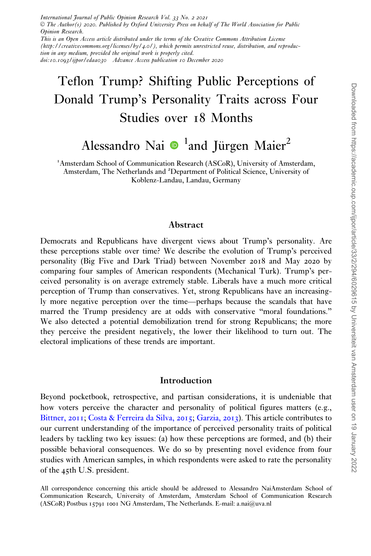Downloaded from https://academic.oup.com/ijpor/article/33/2/294/6029615 by Universiteit van Amsterdam user on 19 January 2022 Downloaded from https://academic.oup.com/ijpor/article/33/2/294/6029615 by Universiteit van Amsterdam user on 19 January 2022

International Journal of Public Opinion Research Vol. 33 No. 2 2021 V<sup>C</sup> The Author(s) 2020. Published by Oxford University Press on behalf of The World Association for Public Opinion Research. This is an Open Access article distributed under the terms of the Creative Commons Attribution License

(http://creativecommons.org/licenses/by/4.0/), which permits unrestricted reuse, distribution, and reproduction in any medium, provided the original work is properly cited.

doi:10.1093/ijpor/edaa030 Advance Access publication 10 December 2020

# Teflon Trump? Shifting Public Perceptions of Donald Trump's Personality Traits across Four Studies over 18 Months

# Alessandro Nai <sup>® 1</sup>and Jürgen Maier<sup>2</sup>

<sup>1</sup> Amsterdam School of Communication Research (ASCoR), University of Amsterdam, Amsterdam, The Netherlands and <sup>2</sup>Department of Political Science, University of Koblenz-Landau, Landau, Germany

#### Abstract

Democrats and Republicans have divergent views about Trump's personality. Are these perceptions stable over time? We describe the evolution of Trump's perceived personality (Big Five and Dark Triad) between November 2018 and May 2020 by comparing four samples of American respondents (Mechanical Turk). Trump's perceived personality is on average extremely stable. Liberals have a much more critical perception of Trump than conservatives. Yet, strong Republicans have an increasingly more negative perception over the time—perhaps because the scandals that have marred the Trump presidency are at odds with conservative "moral foundations." We also detected a potential demobilization trend for strong Republicans; the more they perceive the president negatively, the lower their likelihood to turn out. The electoral implications of these trends are important.

#### Introduction

Beyond pocketbook, retrospective, and partisan considerations, it is undeniable that how voters perceive the character and personality of political figures matters (e.g., [Bittner,](#page-18-0) 2011; [Costa](#page-18-0) & [Ferreira da Silva,](#page-18-0) 2015; [Garzia,](#page-19-0) 2013). This article contributes to our current understanding of the importance of perceived personality traits of political leaders by tackling two key issues: (a) how these perceptions are formed, and (b) their possible behavioral consequences. We do so by presenting novel evidence from four studies with American samples, in which respondents were asked to rate the personality of the 45th U.S. president.

All correspondence concerning this article should be addressed to Alessandro NaiAmsterdam School of Communication Research, University of Amsterdam, Amsterdam School of Communication Research (ASCoR) Postbus 15791 1001 NG Amsterdam, The Netherlands. E-mail: a.nai@uva.nl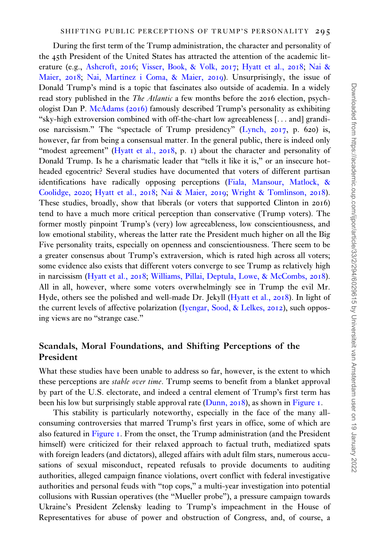During the first term of the Trump administration, the character and personality of the 45th President of the United States has attracted the attention of the academic literature (e.g., [Ashcroft,](#page-17-0) 2016; [Visser, Book,](#page-20-0) & [Volk,](#page-20-0) 2017; [Hyatt et al.,](#page-19-0) 2018; [Nai](#page-20-0) & [Maier,](#page-20-0) 2018; Nai, Martínez i Coma, & Maier, 2019). Unsurprisingly, the issue of Donald Trump's mind is a topic that fascinates also outside of academia. In a widely read story published in the *The Atlantic* a few months before the 2016 election, psychologist Dan P. [McAdams \(](#page-19-0)2016) famously described Trump's personality as exhibiting "sky-high extroversion combined with off-the-chart low agreeableness [... and] grandiose narcissism." The "spectacle of Trump presidency" ([Lynch,](#page-19-0) 2017, p. 620) is, however, far from being a consensual matter. In the general public, there is indeed only "modest agreement" [\(Hyatt et al.,](#page-19-0) 2018, p. 1) about the character and personality of Donald Trump. Is he a charismatic leader that "tells it like it is," or an insecure hotheaded egocentric? Several studies have documented that voters of different partisan identifications have radically opposing perceptions ([Fiala, Mansour, Matlock,](#page-18-0) & [Coolidge,](#page-18-0) 2020; [Hyatt et al.,](#page-19-0) 2018; [Nai](#page-20-0) [& Maier,](#page-20-0) 2019; [Wright & Tomlinson,](#page-21-0) 2018). These studies, broadly, show that liberals (or voters that supported Clinton in 2016) tend to have a much more critical perception than conservative (Trump voters). The former mostly pinpoint Trump's (very) low agreeableness, low conscientiousness, and low emotional stability, whereas the latter rate the President much higher on all the Big Five personality traits, especially on openness and conscientiousness. There seem to be a greater consensus about Trump's extraversion, which is rated high across all voters; some evidence also exists that different voters converge to see Trump as relatively high in narcissism [\(Hyatt et al.,](#page-19-0) 2018; [Williams, Pillai, Deptula, Lowe, & McCombs,](#page-20-0) 2018). All in all, however, where some voters overwhelmingly see in Trump the evil Mr. Hyde, others see the polished and well-made Dr. Jekyll ([Hyatt et al.,](#page-19-0) 2018). In light of the current levels of affective polarization [\(Iyengar, Sood,](#page-19-0) & [Lelkes,](#page-19-0) 2012), such opposing views are no "strange case."

### Scandals, Moral Foundations, and Shifting Perceptions of the President

What these studies have been unable to address so far, however, is the extent to which these perceptions are stable over time. Trump seems to benefit from a blanket approval by part of the U.S. electorate, and indeed a central element of Trump's first term has been his low but surprisingly stable approval rate [\(Dunn,](#page-18-0) 2018), as shown in [Figure](#page-3-0) 1.

This stability is particularly noteworthy, especially in the face of the many allconsuming controversies that marred Trump's first years in office, some of which are also featured in [Figure](#page-3-0) 1. From the onset, the Trump administration (and the President himself) were criticized for their relaxed approach to factual truth, mediatized spats with foreign leaders (and dictators), alleged affairs with adult film stars, numerous accusations of sexual misconduct, repeated refusals to provide documents to auditing authorities, alleged campaign finance violations, overt conflict with federal investigative authorities and personal feuds with "top cops," a multi-year investigation into potential collusions with Russian operatives (the "Mueller probe"), a pressure campaign towards Ukraine's President Zelensky leading to Trump's impeachment in the House of Representatives for abuse of power and obstruction of Congress, and, of course, a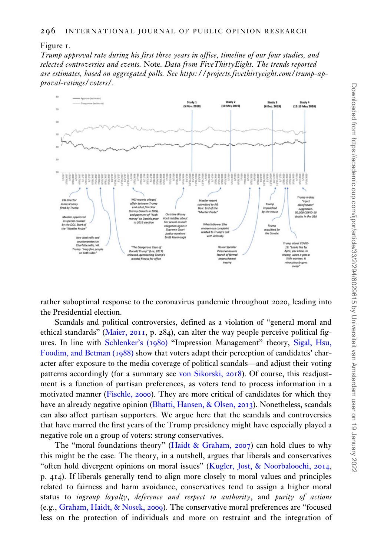<span id="page-3-0"></span>Figure 1.

Trump approval rate during his first three years in office, timeline of our four studies, and selected controversies and events. Note. Data from FiveThirtyEight. The trends reported are estimates, based on aggregated polls. See https://projects.fivethirtyeight.com/trump-approval-ratings/voters/.



rather suboptimal response to the coronavirus pandemic throughout 2020, leading into the Presidential election.

Scandals and political controversies, defined as a violation of "general moral and ethical standards" [\(Maier,](#page-19-0) 2011, p. 284), can alter the way people perceive political figures. In line with [Schlenker's \(](#page-20-0)1980) "Impression Management" theory, [Sigal, Hsu,](#page-20-0) [Foodim, and Betman \(](#page-20-0)1988) show that voters adapt their perception of candidates' character after exposure to the media coverage of political scandals—and adjust their voting patterns accordingly (for a summary see [von Sikorski,](#page-20-0) 2018). Of course, this readjustment is a function of partisan preferences, as voters tend to process information in a motivated manner [\(Fischle,](#page-18-0) 2000). They are more critical of candidates for which they have an already negative opinion ([Bhatti, Hansen,](#page-18-0) [& Olsen,](#page-18-0) 2013). Nonetheless, scandals can also affect partisan supporters. We argue here that the scandals and controversies that have marred the first years of the Trump presidency might have especially played a negative role on a group of voters: strong conservatives.

The "moral foundations theory" [\(Haidt & Graham,](#page-19-0) 2007) can hold clues to why this might be the case. The theory, in a nutshell, argues that liberals and conservatives "often hold divergent opinions on moral issues" ([Kugler, Jost, & Noorbaloochi,](#page-19-0) 2014, p. 414). If liberals generally tend to align more closely to moral values and principles related to fairness and harm avoidance, conservatives tend to assign a higher moral status to ingroup loyalty, deference and respect to authority, and purity of actions (e.g., [Graham, Haidt,](#page-19-0) [& Nosek,](#page-19-0) 2009). The conservative moral preferences are "focused less on the protection of individuals and more on restraint and the integration of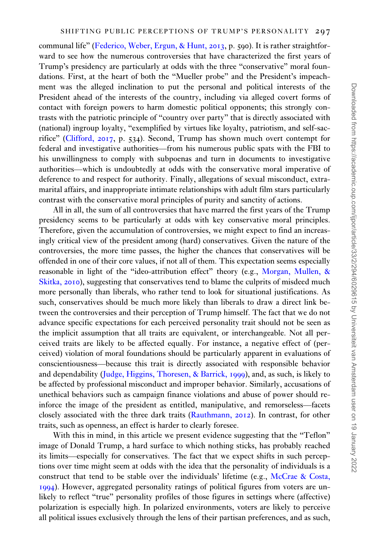communal life" ([Federico, Weber, Ergun,](#page-18-0) & [Hunt,](#page-18-0) 2013, p. 590). It is rather straightforward to see how the numerous controversies that have characterized the first years of Trump's presidency are particularly at odds with the three "conservative" moral foundations. First, at the heart of both the "Mueller probe" and the President's impeachment was the alleged inclination to put the personal and political interests of the President ahead of the interests of the country, including via alleged covert forms of contact with foreign powers to harm domestic political opponents; this strongly contrasts with the patriotic principle of "country over party" that is directly associated with (national) ingroup loyalty, "exemplified by virtues like loyalty, patriotism, and self-sacrifice" [\(Clifford,](#page-18-0) 2017, p. 534). Second, Trump has shown much overt contempt for federal and investigative authorities—from his numerous public spats with the FBI to his unwillingness to comply with subpoenas and turn in documents to investigative authorities—which is undoubtedly at odds with the conservative moral imperative of deference to and respect for authority. Finally, allegations of sexual misconduct, extramarital affairs, and inappropriate intimate relationships with adult film stars particularly contrast with the conservative moral principles of purity and sanctity of actions.

All in all, the sum of all controversies that have marred the first years of the Trump presidency seems to be particularly at odds with key conservative moral principles. Therefore, given the accumulation of controversies, we might expect to find an increasingly critical view of the president among (hard) conservatives. Given the nature of the controversies, the more time passes, the higher the chances that conservatives will be offended in one of their core values, if not all of them. This expectation seems especially reasonable in light of the "ideo-attribution effect" theory (e.g., [Morgan, Mullen,](#page-20-0) & [Skitka,](#page-20-0) 2010), suggesting that conservatives tend to blame the culprits of misdeed much more personally than liberals, who rather tend to look for situational justifications. As such, conservatives should be much more likely than liberals to draw a direct link between the controversies and their perception of Trump himself. The fact that we do not advance specific expectations for each perceived personality trait should not be seen as the implicit assumption that all traits are equivalent, or interchangeable. Not all perceived traits are likely to be affected equally. For instance, a negative effect of (perceived) violation of moral foundations should be particularly apparent in evaluations of conscientiousness—because this trait is directly associated with responsible behavior and dependability ([Judge, Higgins, Thoresen,](#page-19-0) [& Barrick,](#page-19-0) 1999), and, as such, is likely to be affected by professional misconduct and improper behavior. Similarly, accusations of unethical behaviors such as campaign finance violations and abuse of power should reinforce the image of the president as entitled, manipulative, and remorseless—facets closely associated with the three dark traits ([Rauthmann,](#page-20-0) 2012). In contrast, for other traits, such as openness, an effect is harder to clearly foresee.

With this in mind, in this article we present evidence suggesting that the "Teflon" image of Donald Trump, a hard surface to which nothing sticks, has probably reached its limits—especially for conservatives. The fact that we expect shifts in such perceptions over time might seem at odds with the idea that the personality of individuals is a construct that tend to be stable over the individuals' lifetime (e.g., [McCrae & Costa,](#page-19-0) [1994](#page-19-0)). However, aggregated personality ratings of political figures from voters are unlikely to reflect "true" personality profiles of those figures in settings where (affective) polarization is especially high. In polarized environments, voters are likely to perceive all political issues exclusively through the lens of their partisan preferences, and as such,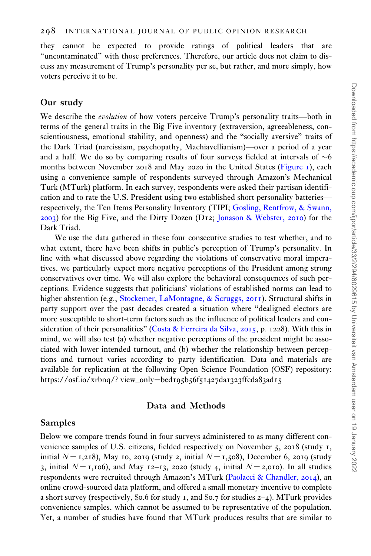they cannot be expected to provide ratings of political leaders that are "uncontaminated" with those preferences. Therefore, our article does not claim to discuss any measurement of Trump's personality per se, but rather, and more simply, how voters perceive it to be.

#### Our study

We describe the evolution of how voters perceive Trump's personality traits—both in terms of the general traits in the Big Five inventory (extraversion, agreeableness, conscientiousness, emotional stability, and openness) and the "socially aversive" traits of the Dark Triad (narcissism, psychopathy, Machiavellianism)—over a period of a year and a half. We do so by comparing results of four surveys fielded at intervals of  ${\sim}6$ months between November 2018 and May 2020 in the United States ([Figure](#page-3-0) 1), each using a convenience sample of respondents surveyed through Amazon's Mechanical Turk (MTurk) platform. In each survey, respondents were asked their partisan identification and to rate the U.S. President using two established short personality batteries respectively, the Ten Items Personality Inventory (TIPI; [Gosling, Rentfrow, & Swann,](#page-19-0) [2003](#page-19-0)) for the Big Five, and the Dirty Dozen (D12; [Jonason](#page-19-0) & [Webster,](#page-19-0) 2010) for the Dark Triad.

We use the data gathered in these four consecutive studies to test whether, and to what extent, there have been shifts in public's perception of Trump's personality. In line with what discussed above regarding the violations of conservative moral imperatives, we particularly expect more negative perceptions of the President among strong conservatives over time. We will also explore the behavioral consequences of such perceptions. Evidence suggests that politicians' violations of established norms can lead to higher abstention (e.g., [Stockemer, LaMontagne, & Scruggs,](#page-20-0) 2011). Structural shifts in party support over the past decades created a situation where "dealigned electors are more susceptible to short-term factors such as the influence of political leaders and consideration of their personalities" [\(Costa](#page-18-0) & [Ferreira da Silva,](#page-18-0) 2015, p. 1228). With this in mind, we will also test (a) whether negative perceptions of the president might be associated with lower intended turnout, and (b) whether the relationship between perceptions and turnout varies according to party identification. Data and materials are available for replication at the following Open Science Foundation (OSF) repository: [https://osf.io/xrbnq/? view\\_only](https://osf.io/xrbnq/? view_only=bed195b56f51427da1323ffcda83ad15)=bed195b56f[51427](https://osf.io/xrbnq/? view_only=bed195b56f51427da1323ffcda83ad15)da1323ffcda83ad15

#### Data and Methods

#### Samples

Below we compare trends found in four surveys administered to as many different convenience samples of U.S. citizens, fielded respectively on November 5, 2018 (study 1, initial  $N = 1,218$ ), May 10, 2019 (study 2, initial  $N = 1,508$ ), December 6, 2019 (study 3, initial  $N = 1,106$ , and May 12–13, 2020 (study 4, initial  $N = 2,010$ ). In all studies respondents were recruited through Amazon's MTurk [\(Paolacci](#page-20-0) [& Chandler,](#page-20-0) 2014), an online crowd-sourced data platform, and offered a small monetary incentive to complete a short survey (respectively, \$0.6 for study 1, and \$0.7 for studies  $2-4$ ). MTurk provides convenience samples, which cannot be assumed to be representative of the population. Yet, a number of studies have found that MTurk produces results that are similar to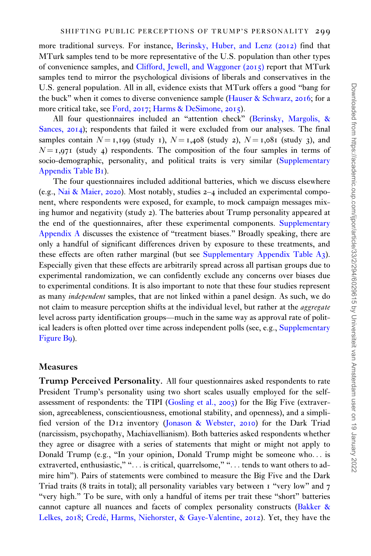more traditional surveys. For instance, [Berinsky, Huber, and Lenz \(](#page-17-0)2012) find that MTurk samples tend to be more representative of the U.S. population than other types of convenience samples, and [Clifford, Jewell, and Waggoner \(](#page-18-0)2015) report that MTurk samples tend to mirror the psychological divisions of liberals and conservatives in the U.S. general population. All in all, evidence exists that MTurk offers a good "bang for the buck" when it comes to diverse convenience sample ([Hauser & Schwarz,](#page-19-0) 2016; for a more critical take, see [Ford,](#page-18-0) 2017; [Harms & DeSimone,](#page-19-0) 2015).

All four questionnaires included an "attention check" ([Berinsky, Margolis,](#page-18-0) & [Sances,](#page-18-0) 2014); respondents that failed it were excluded from our analyses. The final samples contain  $N = 1,199$  (study 1),  $N = 1,408$  (study 2),  $N = 1,081$  (study 3), and  $N = 1.971$  (study 4) respondents. The composition of the four samples in terms of socio-demographic, personality, and political traits is very similar [\(Supplementary](https://academic.oup.com/ijpor/article-lookup/doi/10.1093/ijpor/edaa030#supplementary-data) [Appendix Table B](https://academic.oup.com/ijpor/article-lookup/doi/10.1093/ijpor/edaa030#supplementary-data)1).

The four questionnaires included additional batteries, which we discuss elsewhere (e.g., [Nai & Maier,](#page-20-0) 2020). Most notably, studies 2–4 included an experimental component, where respondents were exposed, for example, to mock campaign messages mixing humor and negativity (study 2). The batteries about Trump personality appeared at the end of the questionnaires, after these experimental components. [Supplementary](https://academic.oup.com/ijpor/article-lookup/doi/10.1093/ijpor/edaa030#supplementary-data) [Appendix A](https://academic.oup.com/ijpor/article-lookup/doi/10.1093/ijpor/edaa030#supplementary-data) discusses the existence of "treatment biases." Broadly speaking, there are only a handful of significant differences driven by exposure to these treatments, and these effects are often rather marginal (but see [Supplementary Appendix Table A](https://academic.oup.com/ijpor/article-lookup/doi/10.1093/ijpor/edaa030#supplementary-data)3). Especially given that these effects are arbitrarily spread across all partisan groups due to experimental randomization, we can confidently exclude any concerns over biases due to experimental conditions. It is also important to note that these four studies represent as many independent samples, that are not linked within a panel design. As such, we do not claim to measure perception shifts at the individual level, but rather at the aggregate level across party identification groups—much in the same way as approval rate of political leaders is often plotted over time across independent polls (see, e.g., [Supplementary](https://academic.oup.com/ijpor/article-lookup/doi/10.1093/ijpor/edaa030#supplementary-data) [Figure B](https://academic.oup.com/ijpor/article-lookup/doi/10.1093/ijpor/edaa030#supplementary-data)9).

#### Measures

Trump Perceived Personality. All four questionnaires asked respondents to rate President Trump's personality using two short scales usually employed for the selfassessment of respondents: the TIPI [\(Gosling et al.,](#page-19-0) 2003) for the Big Five (extraversion, agreeableness, conscientiousness, emotional stability, and openness), and a simplified version of the D12 inventory ([Jonason & Webster,](#page-19-0) 2010) for the Dark Triad (narcissism, psychopathy, Machiavellianism). Both batteries asked respondents whether they agree or disagree with a series of statements that might or might not apply to Donald Trump (e.g., "In your opinion, Donald Trump might be someone who... is extraverted, enthusiastic," "... is critical, quarrelsome," "... tends to want others to admire him"). Pairs of statements were combined to measure the Big Five and the Dark Triad traits (8 traits in total); all personality variables vary between 1 "very low" and 7 "very high." To be sure, with only a handful of items per trait these "short" batteries cannot capture all nuances and facets of complex personality constructs [\(Bakker](#page-17-0) & [Lelkes,](#page-17-0) 2018; Credé, Harms, Niehorster, & Gaye-Valentine, 2012). Yet, they have the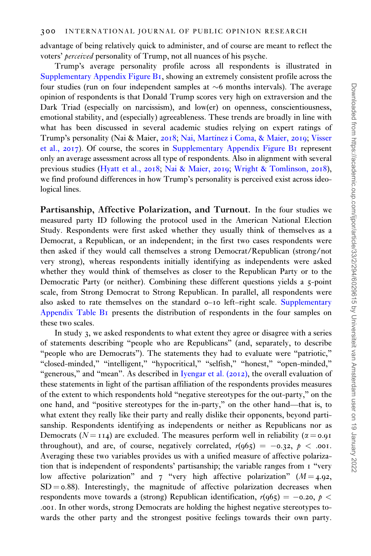advantage of being relatively quick to administer, and of course are meant to reflect the voters' perceived personality of Trump, not all nuances of his psyche.

Trump's average personality profile across all respondents is illustrated in [Supplementary Appendix Figure B](https://academic.oup.com/ijpor/article-lookup/doi/10.1093/ijpor/edaa030#supplementary-data)1, showing an extremely consistent profile across the four studies (run on four independent samples at  $\sim$ 6 months intervals). The average opinion of respondents is that Donald Trump scores very high on extraversion and the Dark Triad (especially on narcissism), and low(er) on openness, conscientiousness, emotional stability, and (especially) agreeableness. These trends are broadly in line with what has been discussed in several academic studies relying on expert ratings of Trump's personality (Nai & Maier, [2018](#page-20-0); Nai, Martínez i Coma, & Maier, 2019; [Visser](#page-20-0) [et al.,](#page-20-0) 2017). Of course, the scores in [Supplementary Appendix Figure B](https://academic.oup.com/ijpor/article-lookup/doi/10.1093/ijpor/edaa030#supplementary-data)1 represent only an average assessment across all type of respondents. Also in alignment with several previous studies ([Hyatt et al.,](#page-19-0) 2018; [Nai](#page-20-0) [& Maier,](#page-20-0) 2019; [Wright](#page-21-0) [& Tomlinson,](#page-21-0) 2018), we find profound differences in how Trump's personality is perceived exist across ideological lines.

Partisanship, Affective Polarization, and Turnout. In the four studies we measured party ID following the protocol used in the American National Election Study. Respondents were first asked whether they usually think of themselves as a Democrat, a Republican, or an independent; in the first two cases respondents were then asked if they would call themselves a strong Democrat/Republican (strong/not very strong), whereas respondents initially identifying as independents were asked whether they would think of themselves as closer to the Republican Party or to the Democratic Party (or neither). Combining these different questions yields a 5-point scale, from Strong Democrat to Strong Republican. In parallel, all respondents were also asked to rate themselves on the standard 0–10 left–right scale. [Supplementary](https://academic.oup.com/ijpor/article-lookup/doi/10.1093/ijpor/edaa030#supplementary-data) [Appendix Table B](https://academic.oup.com/ijpor/article-lookup/doi/10.1093/ijpor/edaa030#supplementary-data)1 presents the distribution of respondents in the four samples on these two scales.

In study 3, we asked respondents to what extent they agree or disagree with a series of statements describing "people who are Republicans" (and, separately, to describe "people who are Democrats"). The statements they had to evaluate were "patriotic," "closed-minded," "intelligent," "hypocritical," "selfish," "honest," "open-minded," "generous," and "mean". As described in [Iyengar et al. \(](#page-19-0)2012), the overall evaluation of these statements in light of the partisan affiliation of the respondents provides measures of the extent to which respondents hold "negative stereotypes for the out-party," on the one hand, and "positive stereotypes for the in-party," on the other hand—that is, to what extent they really like their party and really dislike their opponents, beyond partisanship. Respondents identifying as independents or neither as Republicans nor as Democrats ( $N = 114$ ) are excluded. The measures perform well in reliability ( $\alpha = 0.91$ ) throughout), and are, of course, negatively correlated,  $r(965) = -0.32$ ,  $p < .001$ . Averaging these two variables provides us with a unified measure of affective polarization that is independent of respondents' partisanship; the variable ranges from 1 "very low affective polarization" and 7 "very high affective polarization"  $(M = 4.92,$  $SD = 0.88$ ). Interestingly, the magnitude of affective polarization decreases when respondents move towards a (strong) Republican identification,  $r(965) = -0.20$ ,  $p <$ .001. In other words, strong Democrats are holding the highest negative stereotypes towards the other party and the strongest positive feelings towards their own party.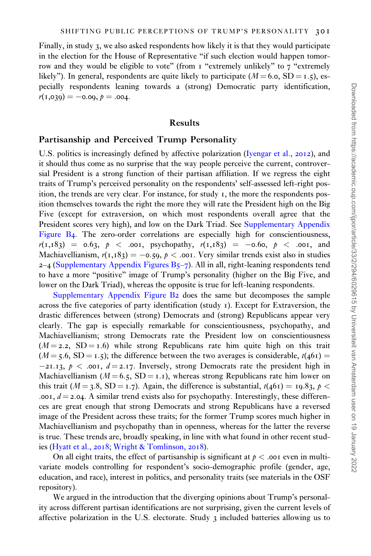Finally, in study 3, we also asked respondents how likely it is that they would participate in the election for the House of Representative "if such election would happen tomorrow and they would be eligible to vote" (from  $\tau$  "extremely unlikely" to  $\tau$  "extremely likely"). In general, respondents are quite likely to participate  $(M = 6.0, SD = 1.5)$ , especially respondents leaning towards a (strong) Democratic party identification,  $r(1,039) = -0.09, p = .004.$ 

#### Results

#### Partisanship and Perceived Trump Personality

U.S. politics is increasingly defined by affective polarization ([Iyengar et al.,](#page-19-0) 2012), and it should thus come as no surprise that the way people perceive the current, controversial President is a strong function of their partisan affiliation. If we regress the eight traits of Trump's perceived personality on the respondents' self-assessed left-right position, the trends are very clear. For instance, for study 1, the more the respondents position themselves towards the right the more they will rate the President high on the Big Five (except for extraversion, on which most respondents overall agree that the President scores very high), and low on the Dark Triad. See [Supplementary Appendix](https://academic.oup.com/ijpor/article-lookup/doi/10.1093/ijpor/edaa030#supplementary-data) [Figure B](https://academic.oup.com/ijpor/article-lookup/doi/10.1093/ijpor/edaa030#supplementary-data)4. The zero-order correlations are especially high for conscientiousness,  $r(1,183) = 0.63, p < .001,$  psychopathy,  $r(1,183) = -0.60, p < .001,$  and Machiavellianism,  $r(1,183) = -0.59$ ,  $p < .001$ . Very similar trends exist also in studies  $2-4$  [\(Supplementary Appendix Figures B](https://academic.oup.com/ijpor/article-lookup/doi/10.1093/ijpor/edaa030#supplementary-data)5–7). All in all, right-leaning respondents tend to have a more "positive" image of Trump's personality (higher on the Big Five, and lower on the Dark Triad), whereas the opposite is true for left-leaning respondents.

[Supplementary Appendix Figure B](https://academic.oup.com/ijpor/article-lookup/doi/10.1093/ijpor/edaa030#supplementary-data)2 does the same but decomposes the sample across the five categories of party identification (study 1). Except for Extraversion, the drastic differences between (strong) Democrats and (strong) Republicans appear very clearly. The gap is especially remarkable for conscientiousness, psychopathy, and Machiavellianism; strong Democrats rate the President low on conscientiousness  $(M = 2.2, SD = 1.6)$  while strong Republicans rate him quite high on this trait  $(M = 5.6, SD = 1.5)$ ; the difference between the two averages is considerable,  $t(461) =$  $-21.13$ ,  $p < .001$ ,  $d = 2.17$ . Inversely, strong Democrats rate the president high in Machiavellianism ( $M = 6.5$ , SD = 1.1), whereas strong Republicans rate him lower on this trait ( $M = 3.8$ , SD = 1.7). Again, the difference is substantial,  $t(461) = 19.83$ ,  $p <$ .001,  $d = 2.04$ . A similar trend exists also for psychopathy. Interestingly, these differences are great enough that strong Democrats and strong Republicans have a reversed image of the President across these traits; for the former Trump scores much higher in Machiavellianism and psychopathy than in openness, whereas for the latter the reverse is true. These trends are, broadly speaking, in line with what found in other recent studies [\(Hyatt et al.,](#page-19-0) 2018; [Wright](#page-21-0) [& Tomlinson,](#page-21-0) 2018).

On all eight traits, the effect of partisanship is significant at  $p < .001$  even in multivariate models controlling for respondent's socio-demographic profile (gender, age, education, and race), interest in politics, and personality traits (see materials in the OSF repository).

We argued in the introduction that the diverging opinions about Trump's personality across different partisan identifications are not surprising, given the current levels of affective polarization in the U.S. electorate. Study 3 included batteries allowing us to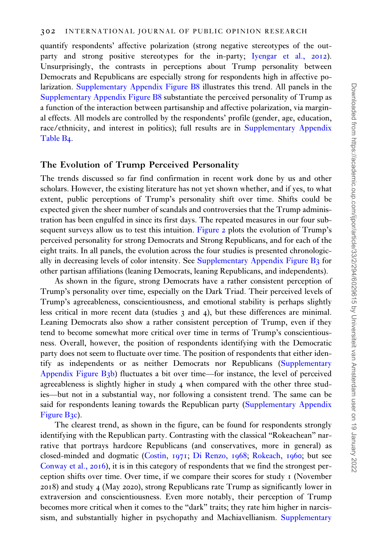quantify respondents' affective polarization (strong negative stereotypes of the outparty and strong positive stereotypes for the in-party; [Iyengar et al.,](#page-19-0) 2012). Unsurprisingly, the contrasts in perceptions about Trump personality between Democrats and Republicans are especially strong for respondents high in affective polarization. [Supplementary Appendix Figure B](https://academic.oup.com/ijpor/article-lookup/doi/10.1093/ijpor/edaa030#supplementary-data)8 illustrates this trend. All panels in the [Supplementary Appendix Figure B](https://academic.oup.com/ijpor/article-lookup/doi/10.1093/ijpor/edaa030#supplementary-data)8 substantiate the perceived personality of Trump as a function of the interaction between partisanship and affective polarization, via marginal effects. All models are controlled by the respondents' profile (gender, age, education, race/ethnicity, and interest in politics); full results are in [Supplementary Appendix](https://academic.oup.com/ijpor/article-lookup/doi/10.1093/ijpor/edaa030#supplementary-data) [Table B](https://academic.oup.com/ijpor/article-lookup/doi/10.1093/ijpor/edaa030#supplementary-data)4.

#### The Evolution of Trump Perceived Personality

The trends discussed so far find confirmation in recent work done by us and other scholars. However, the existing literature has not yet shown whether, and if yes, to what extent, public perceptions of Trump's personality shift over time. Shifts could be expected given the sheer number of scandals and controversies that the Trump administration has been engulfed in since its first days. The repeated measures in our four sub-sequent surveys allow us to test this intuition. [Figure](#page-10-0) 2 plots the evolution of Trump's perceived personality for strong Democrats and Strong Republicans, and for each of the eight traits. In all panels, the evolution across the four studies is presented chronologically in decreasing levels of color intensity. See Supplementary Appendix Figure  $B_3$  for other partisan affiliations (leaning Democrats, leaning Republicans, and independents).

As shown in the figure, strong Democrats have a rather consistent perception of Trump's personality over time, especially on the Dark Triad. Their perceived levels of Trump's agreeableness, conscientiousness, and emotional stability is perhaps slightly less critical in more recent data (studies 3 and 4), but these differences are minimal. Leaning Democrats also show a rather consistent perception of Trump, even if they tend to become somewhat more critical over time in terms of Trump's conscientiousness. Overall, however, the position of respondents identifying with the Democratic party does not seem to fluctuate over time. The position of respondents that either identify as independents or as neither Democrats nor Republicans [\(Supplementary](https://academic.oup.com/ijpor/article-lookup/doi/10.1093/ijpor/edaa030#supplementary-data) Appendix Figure  $B_3b$ ) fluctuates a bit over time—for instance, the level of perceived agreeableness is slightly higher in study 4 when compared with the other three studies—but not in a substantial way, nor following a consistent trend. The same can be said for respondents leaning towards the Republican party [\(Supplementary Appendix](https://academic.oup.com/ijpor/article-lookup/doi/10.1093/ijpor/edaa030#supplementary-data) [Figure B](https://academic.oup.com/ijpor/article-lookup/doi/10.1093/ijpor/edaa030#supplementary-data)3c).

The clearest trend, as shown in the figure, can be found for respondents strongly identifying with the Republican party. Contrasting with the classical "Rokeachean" narrative that portrays hardcore Republicans (and conservatives, more in general) as closed-minded and dogmatic [\(Costin,](#page-18-0) 1971; [Di Renzo,](#page-18-0) 1968; [Rokeach,](#page-20-0) 1960; but see [Conway et al.,](#page-18-0) 2016), it is in this category of respondents that we find the strongest perception shifts over time. Over time, if we compare their scores for study 1 (November 2018) and study 4 (May 2020), strong Republicans rate Trump as significantly lower in extraversion and conscientiousness. Even more notably, their perception of Trump becomes more critical when it comes to the "dark" traits; they rate him higher in narcissism, and substantially higher in psychopathy and Machiavellianism. [Supplementary](https://academic.oup.com/ijpor/article-lookup/doi/10.1093/ijpor/edaa030#supplementary-data)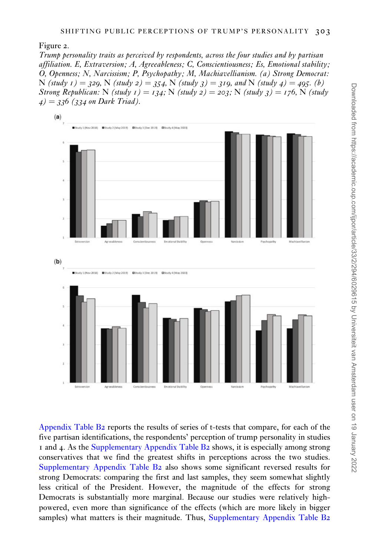<span id="page-10-0"></span>Figure 2.

Trump personality traits as perceived by respondents, across the four studies and by partisan affiliation. E, Extraversion; A, Agreeableness; C, Conscientiousness; Es, Emotional stability; O, Openness; N, Narcissism; P, Psychopathy; M, Machiavellianism. (a) Strong Democrat:  $N$  (study 1) = 329, N (study 2) = 354, N (study 3) = 319, and N (study 4) = 495. (b) Strong Republican: N (study 1) = 134; N (study 2) = 203; N (study 3) = 176, N (study  $(4) = 336$  (334 on Dark Triad).



[Appendix Table B](https://academic.oup.com/ijpor/article-lookup/doi/10.1093/ijpor/edaa030#supplementary-data)2 reports the results of series of t-tests that compare, for each of the five partisan identifications, the respondents' perception of trump personality in studies 1 and 4. As the [Supplementary Appendix Table B](https://academic.oup.com/ijpor/article-lookup/doi/10.1093/ijpor/edaa030#supplementary-data)2 shows, it is especially among strong conservatives that we find the greatest shifts in perceptions across the two studies. [Supplementary Appendix Table B](https://academic.oup.com/ijpor/article-lookup/doi/10.1093/ijpor/edaa030#supplementary-data)2 also shows some significant reversed results for strong Democrats: comparing the first and last samples, they seem somewhat slightly less critical of the President. However, the magnitude of the effects for strong Democrats is substantially more marginal. Because our studies were relatively highpowered, even more than significance of the effects (which are more likely in bigger samples) what matters is their magnitude. Thus, [Supplementary Appendix Table B](https://academic.oup.com/ijpor/article-lookup/doi/10.1093/ijpor/edaa030#supplementary-data)2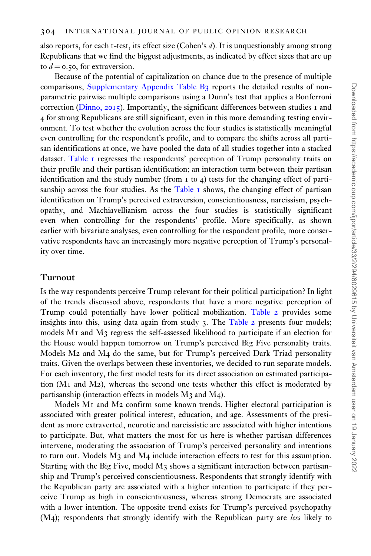also reports, for each t-test, its effect size (Cohen's d). It is unquestionably among strong Republicans that we find the biggest adjustments, as indicated by effect sizes that are up to  $d = 0.50$ , for extraversion.

Because of the potential of capitalization on chance due to the presence of multiple comparisons, [Supplementary Appendix Table B](https://academic.oup.com/ijpor/article-lookup/doi/10.1093/ijpor/edaa030#supplementary-data)3 reports the detailed results of nonparametric pairwise multiple comparisons using a Dunn's test that applies a Bonferroni correction ([Dinno,](#page-18-0) 2015). Importantly, the significant differences between studies 1 and 4 for strong Republicans are still significant, even in this more demanding testing environment. To test whether the evolution across the four studies is statistically meaningful even controlling for the respondent's profile, and to compare the shifts across all partisan identifications at once, we have pooled the data of all studies together into a stacked dataset. [Table](#page-12-0) 1 regresses the respondents' perception of Trump personality traits on their profile and their partisan identification; an interaction term between their partisan identification and the study number (from 1 to 4) tests for the changing effect of parti-sanship across the four studies. As the [Table](#page-12-0) 1 shows, the changing effect of partisan identification on Trump's perceived extraversion, conscientiousness, narcissism, psychopathy, and Machiavellianism across the four studies is statistically significant even when controlling for the respondents' profile. More specifically, as shown earlier with bivariate analyses, even controlling for the respondent profile, more conservative respondents have an increasingly more negative perception of Trump's personality over time.

#### Turnout

Is the way respondents perceive Trump relevant for their political participation? In light of the trends discussed above, respondents that have a more negative perception of Trump could potentially have lower political mobilization. [Table](#page-13-0) 2 provides some insights into this, using data again from study 3. The [Table](#page-13-0) 2 presents four models; models M1 and M3 regress the self-assessed likelihood to participate if an election for the House would happen tomorrow on Trump's perceived Big Five personality traits. Models M2 and M4 do the same, but for Trump's perceived Dark Triad personality traits. Given the overlaps between these inventories, we decided to run separate models. For each inventory, the first model tests for its direct association on estimated participation ( $Mr$  and  $M<sub>2</sub>$ ), whereas the second one tests whether this effect is moderated by partisanship (interaction effects in models M3 and M4).

Models M1 and M2 confirm some known trends. Higher electoral participation is associated with greater political interest, education, and age. Assessments of the president as more extraverted, neurotic and narcissistic are associated with higher intentions to participate. But, what matters the most for us here is whether partisan differences intervene, moderating the association of Trump's perceived personality and intentions to turn out. Models M3 and M4 include interaction effects to test for this assumption. Starting with the Big Five, model M3 shows a significant interaction between partisanship and Trump's perceived conscientiousness. Respondents that strongly identify with the Republican party are associated with a higher intention to participate if they perceive Trump as high in conscientiousness, whereas strong Democrats are associated with a lower intention. The opposite trend exists for Trump's perceived psychopathy (M4); respondents that strongly identify with the Republican party are less likely to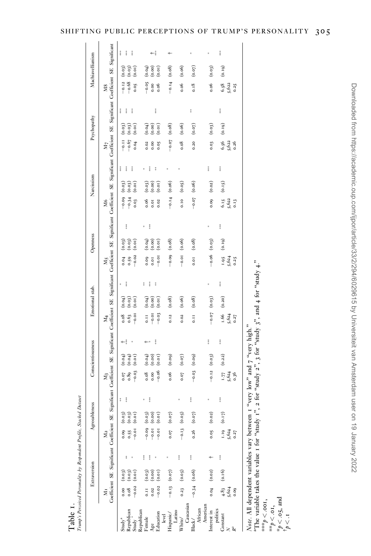<span id="page-12-0"></span>

|                                                 |                         | Extraversion               |           |                                                                    | Agreeableness                   |          |                         | Conscientiousness                                                                       |       |                            | Emotional stab.                |    |                         | Openness                   |     |                            | Narcissism                 |           |                            | Psychopathy                |                                                                                                                                                                                        |                            | Machiavellianism           |           |
|-------------------------------------------------|-------------------------|----------------------------|-----------|--------------------------------------------------------------------|---------------------------------|----------|-------------------------|-----------------------------------------------------------------------------------------|-------|----------------------------|--------------------------------|----|-------------------------|----------------------------|-----|----------------------------|----------------------------|-----------|----------------------------|----------------------------|----------------------------------------------------------------------------------------------------------------------------------------------------------------------------------------|----------------------------|----------------------------|-----------|
|                                                 | ЯH                      |                            |           | Coefficient SE Significant Coefficient SE<br>$\mathbf{M}$          |                                 |          | Ń,                      |                                                                                         |       | $\overline{\mathbf{M}}$    |                                |    | ž                       |                            |     | М6                         |                            |           | ΣĀ                         |                            | Significant Coefficient SE Significant Coefficient SE Significant Coefficient SE Significant Coefficient SE Significant Coefficient Coefficient Coefficient Coefficient SE Significant | XI <sub>8</sub>            |                            |           |
| Republican<br>Study<br>Study <sup>3</sup>       | $-0.02$<br>0.08<br>0.00 | (0.03)<br>(0.03)<br>(0.01) |           | $-0.01$<br>0.55<br>0.09                                            | (၉၀၁)<br>(၉၀၁)<br>(0.01)        | ***<br>ţ | $-0.03$<br>0.07<br>0.89 | $\begin{array}{c} \text{(} \text{10:0)} \\ \text{(} \text{10:0)} \end{array}$<br>(0.01) | ÷,    | $-0.01$<br>0.08<br>0.63    | (0.03)<br>(0.01)<br>$^{(6.0)}$ | 蔓柏 | $-0.02$<br>0.59<br>0.04 | (0.03)<br>(0.03)<br>(0.01) | 衣着衣 | $-0.00$<br>$-0.34$<br>0.03 | (0.01)<br>(6.03)<br>(6.03) | 黃家<br>*** | $-0.67$<br>$-0.11$<br>0.04 | (6.03)<br>(6.03)<br>(0.01) | 黃家<br>***                                                                                                                                                                              | $-0.12$<br>$-0.68$<br>0.05 | (0.03)<br>(0.03)<br>(0.01) | ***<br>美术 |
| <b>Republican</b><br>Age<br>Education<br>Female | $-0.02$<br>0.11<br>0.02 | (0.00)<br>(0.01)<br>(0.03) | ***<br>喜喜 | $-0.09$<br>$-0.01$<br>$-0.01$                                      | (0.03)<br>(0.00)<br>$_{(0.01)}$ | ***      | $-0.06$<br>0.00<br>0.08 | (0.00)<br>(0.01)<br>(6.04)                                                              | ***   | $-0.03$<br>$-0.01$<br>0.11 | (0.00)<br>(6.04)<br>(0.01)     | Ř  | $-0.01$<br>0.09<br>0.01 | (0.00)<br>(0.01)<br>(6.04) | $*$ | 0.06<br>0.02<br>0.01       | (6.03)<br>(0.00)<br>(0.01) | ***<br>Ř  | 0.02<br>0.00<br>0.05       | (0.01)<br>(0.00)<br>(6.04) |                                                                                                                                                                                        | $-0.05$<br>0.00<br>0.06    | (0.00)<br>(0.01)<br>(6.04) | -\$<br>÷  |
| Hispanic/<br>level                              | $-0.13$                 | (0.07)                     |           | 0.07                                                               | (0.07)                          |          | 0.06                    | (0.00)                                                                                  |       | 0.12                       | (0.08)                         |    | $-0.09$                 | (0.08)                     |     | $-0.14$                    | (0.06)                     |           | $-0.07$                    | (0.08)                     |                                                                                                                                                                                        | $-0.14$                    | (0.08)                     |           |
| Latino<br>White/                                | 0.23                    | (0.05)                     | 美景        |                                                                    | $-0.13$ $(0.05)$                |          | 0.07                    | (0.07)                                                                                  |       | 0.02                       | (0.06)                         |    | $-0.01$                 | (0.06)                     |     | 0.10                       | (0.05)                     |           | 0.08                       | (0.06)                     |                                                                                                                                                                                        | 0.06                       | (0.06)                     |           |
| Caucasian<br>African<br>Black/                  | $-0.34$                 | (0.06)                     | 美景        | 0.26                                                               | (0.07)                          | $*$      | $-0.03$                 | (0.00)                                                                                  |       | 0.11                       | (0.08)                         |    | 0.01                    | (0.08)                     |     | $-0.07$                    | (0.06)                     |           | 0.20                       | (0.07)                     | Ř                                                                                                                                                                                      | 0.18                       | (0.07)                     |           |
| American<br>Interest in                         |                         | 0.04 (0.02)                |           |                                                                    | $0.05$ $(0.02)$                 |          | $-0.12$                 | (0.03)                                                                                  | $***$ | $-0.07$                    | (0.03)                         |    | $-0.06$                 | (0.03)                     |     | 0.09                       | (0.02)                     | $* * *$   | 0.03                       | (6.03)                     |                                                                                                                                                                                        | 0.06                       | (0.03)                     | ¥         |
| politics<br>Constant<br>$\gtrsim 2$             | $+83$<br>5.624<br>0.09  | (0.16)                     | 美景        | $\begin{array}{cc}\n 1.19 & (0.17) \\  5,624 & 0.27\n \end{array}$ |                                 | 美景       | $5,624$<br>0.36<br>1.77 | (0.22)                                                                                  | 茶茶    | 1.66<br>5,624<br>0.27      | (0.20)                         | 黄美 | 5,624<br>1.95<br>0.25   | (0.19)                     | 羊等  | $6.15$<br>$5.622$<br>0.13  | (0.15)                     | ***       | 5,622<br>6.56<br>0.26      | (0.19)                     | 喜喜                                                                                                                                                                                     | 5,622<br>6.58<br>0.25      | (0.19)                     | ***       |

Trump's Perceived Personality by Respondent Profile, Stacked Dataset Trump's Perceived Personality by Respondent Profile, Stacked Dataset Table 1.

 $\ast\ast\ast_{\displaystyle{p}}<.$ oo 1, \*\* $p < .01$ ,<br>
\* $p < .05$ , and<br>  $\uparrow_p < 1$  $***p < .001,$ 

Downloaded from https://academic.oup.com/ijpor/article/33/2/294/6029615 by Universiteit van Amsterdam user on 19 January 2022 Downloaded from https://academic.oup.com/ijpor/article/33/2/294/6029615 by Universiteit van Amsterdam user on 19 January 2022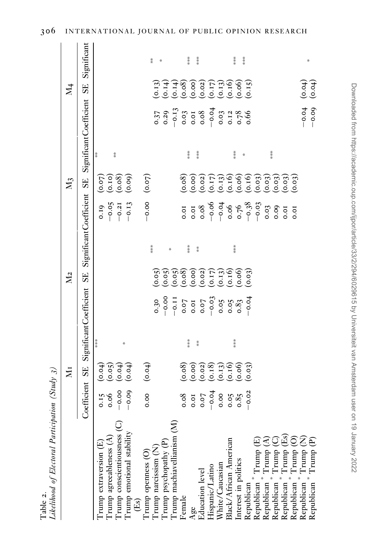<span id="page-13-0"></span>

| Likelihood of Electoral Participation (Study 3)<br>Table 2.                                    |                |                                             |                      |                            |                                     |                      |                                                                           |                                  |                         |                                       |                                                                                                                                                                                                                                                                                                |                               |
|------------------------------------------------------------------------------------------------|----------------|---------------------------------------------|----------------------|----------------------------|-------------------------------------|----------------------|---------------------------------------------------------------------------|----------------------------------|-------------------------|---------------------------------------|------------------------------------------------------------------------------------------------------------------------------------------------------------------------------------------------------------------------------------------------------------------------------------------------|-------------------------------|
|                                                                                                |                | $\overline{M}$                              |                      |                            | $\overline{M}$                      |                      |                                                                           | $M_3$                            |                         |                                       | $\overline{M}_4$                                                                                                                                                                                                                                                                               |                               |
|                                                                                                | Coefficient SE |                                             |                      | Significant Coefficient SE |                                     |                      | Significant Coefficient SE                                                |                                  | Significant Coefficient |                                       | $S_{E}$                                                                                                                                                                                                                                                                                        | Significant                   |
| $[$ rump extraversion $(E)$                                                                    |                |                                             | ***                  |                            |                                     |                      | 0.19                                                                      |                                  | $*$                     |                                       |                                                                                                                                                                                                                                                                                                |                               |
| Trump agreeableness (A)                                                                        | $6.15$<br>0.06 |                                             |                      |                            |                                     |                      | $-0.05$                                                                   |                                  |                         |                                       |                                                                                                                                                                                                                                                                                                |                               |
|                                                                                                | $-0.00$        | (5600)                                      |                      |                            |                                     |                      | $-0.21$                                                                   |                                  | $*$                     |                                       |                                                                                                                                                                                                                                                                                                |                               |
| Trump conscientiousness (C)<br>Trump emotional stability<br>(Es)                               | $-0.09$        |                                             | ₩                    |                            |                                     |                      | $-0.13$                                                                   | (0.03)<br>(0.03)<br>(0.09)       |                         |                                       |                                                                                                                                                                                                                                                                                                |                               |
| $\begin{array}{l} \text{Trump~openness~(O)}\\ \text{Trump~narcissism~(N)} \end{array}$         | 0.00           | (0.04)                                      |                      |                            |                                     |                      | $-0.00$                                                                   | (0.07)                           |                         |                                       |                                                                                                                                                                                                                                                                                                |                               |
|                                                                                                |                |                                             |                      | 0.30                       |                                     | $* * *$              |                                                                           |                                  |                         |                                       |                                                                                                                                                                                                                                                                                                | $\ddot{\ddot{\ddot{\imath}}}$ |
|                                                                                                |                |                                             |                      | $-0.00$                    | 0.05)<br>0.05                       |                      |                                                                           |                                  |                         | $0.37$<br>0.29                        |                                                                                                                                                                                                                                                                                                | ₩                             |
| $\begin{array}{l} \mbox{Trump psychology (P)}\\ \mbox{Trump machines willian (M)} \end{array}$ |                |                                             |                      | $-0.11$                    |                                     | ₩                    |                                                                           |                                  |                         |                                       |                                                                                                                                                                                                                                                                                                |                               |
| Female                                                                                         | 0.08           | $^{(0.08)}_{(0.00)}$                        | $\stackrel{*}{\ast}$ |                            | (၁.၁၉)<br>(၁.၁၉)<br>(၁.၁၉)          | $\frac{*}{2}$        | 0.01                                                                      | (0.08)                           | $***$                   | $-0.13$<br>$-0.03$<br>$-0.08$         | $\begin{array}{l} (5.13)\\ (6.14)\\ (7.15)\\ (8.16)\\ (9.17)\\ (10.18)\\ (11.19)\\ (12.19)\\ (12.19)\\ (12.19)\\ (12.19)\\ (12.19)\\ (12.19)\\ (12.19)\\ (12.19)\\ (12.19)\\ (12.19)\\ (12.19)\\ (12.19)\\ (12.19)\\ (12.19)\\ (12.19)\\ (12.19)\\ (12.19)\\ (12.19)\\ (12.19)\\ (12.19)\\ (1$ | $***$                         |
| Age                                                                                            | 0.01           |                                             | $\stackrel{*}{\ast}$ |                            |                                     | $\stackrel{*}{\ast}$ | 0.01                                                                      | (0.00)                           |                         |                                       |                                                                                                                                                                                                                                                                                                | ***                           |
| Education level                                                                                | 0.07           | (0.02)                                      |                      |                            | (0.02)                              |                      | 0.08                                                                      | (0.02)                           | ***                     |                                       |                                                                                                                                                                                                                                                                                                |                               |
| Hispanic/Latino                                                                                | $-0.04$        | (0.18)                                      |                      |                            | 0.17)<br>(0.13)<br>(0.00)<br>(0.00) |                      |                                                                           | (11.0)                           |                         | $-0.03$<br>$0.03$<br>$0.78$<br>$0.66$ |                                                                                                                                                                                                                                                                                                |                               |
| White/Caucasian                                                                                | 0.00           | $\begin{pmatrix} 0.13 \ 0.10 \end{pmatrix}$ |                      |                            |                                     |                      |                                                                           |                                  |                         |                                       |                                                                                                                                                                                                                                                                                                |                               |
| Black/African American                                                                         | 0.85           |                                             |                      |                            |                                     | $\stackrel{*}{\ast}$ |                                                                           | $(0.16)$<br>$(0.06)$<br>$(0.16)$ | $***$                   |                                       |                                                                                                                                                                                                                                                                                                | $***$                         |
| Interest in politics                                                                           |                | (900)                                       | $***$                |                            |                                     |                      |                                                                           |                                  |                         |                                       |                                                                                                                                                                                                                                                                                                |                               |
|                                                                                                | $-0.02$        | (0.03)                                      |                      | $-0.04$                    | (0.03)                              |                      |                                                                           |                                  | ₩                       |                                       |                                                                                                                                                                                                                                                                                                | ***                           |
|                                                                                                |                |                                             |                      |                            |                                     |                      | $-0.06$<br>$-0.06$<br>$-0.76$<br>$-0.38$<br>$-0.33$<br>$-0.03$<br>$-0.03$ | (0.03)                           |                         |                                       |                                                                                                                                                                                                                                                                                                |                               |
|                                                                                                |                |                                             |                      |                            |                                     |                      |                                                                           | (0.03)                           | ***                     |                                       |                                                                                                                                                                                                                                                                                                |                               |
|                                                                                                |                |                                             |                      |                            |                                     |                      |                                                                           | (0.03)                           |                         |                                       |                                                                                                                                                                                                                                                                                                |                               |
|                                                                                                |                |                                             |                      |                            |                                     |                      |                                                                           | (0.03)                           |                         |                                       |                                                                                                                                                                                                                                                                                                |                               |
|                                                                                                |                |                                             |                      |                            |                                     |                      | 0.01                                                                      | (0.03)                           |                         |                                       |                                                                                                                                                                                                                                                                                                |                               |
|                                                                                                |                |                                             |                      |                            |                                     |                      |                                                                           |                                  |                         | $-0.04$                               | (10.0)                                                                                                                                                                                                                                                                                         | ₩                             |
|                                                                                                |                |                                             |                      |                            |                                     |                      |                                                                           |                                  |                         |                                       |                                                                                                                                                                                                                                                                                                |                               |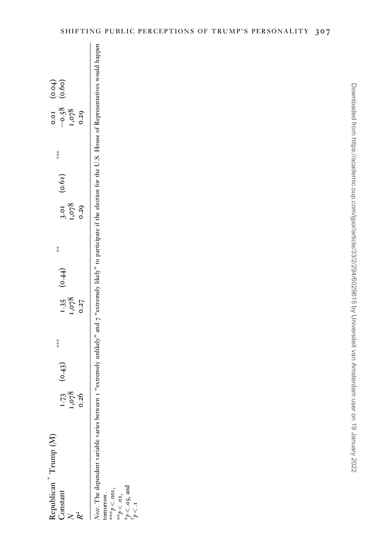| .epublican * Trump (M) |                 | *** |                          | 美米 |                   | *** |                       |                                                             |  |
|------------------------|-----------------|-----|--------------------------|----|-------------------|-----|-----------------------|-------------------------------------------------------------|--|
| nstan                  | (0.43)<br>I.73  |     | $1.35$ (0.44)<br>$1,078$ |    | (0.61)            |     | $\frac{-0.58}{1,078}$ | $\begin{pmatrix} 0.01 & 0.04 \\ -0.58 & 0.60 \end{pmatrix}$ |  |
|                        | $1,078$<br>0.26 |     |                          |    | $3.01$<br>$1,078$ |     |                       |                                                             |  |
|                        |                 |     | 0.27                     |    | 0.29              |     | 0.29                  |                                                             |  |

Note. The dependent variable varies between 1 "extremely unlikely" and 7 "extremely likely" to participate if the election for the U.S. House of Representatives would happen Note. The dependent variable varies between 1 "extremely unlikely" and 7 "extremely likely" to participate if the election for the U.S. House of Representatives would happen tomorrow.  $^{***p}$   $p <$  .001, tomorrow.

\*\* $p < .01$ ,<br>\* $p < .05$ , and<br> $\uparrow_p <$ ...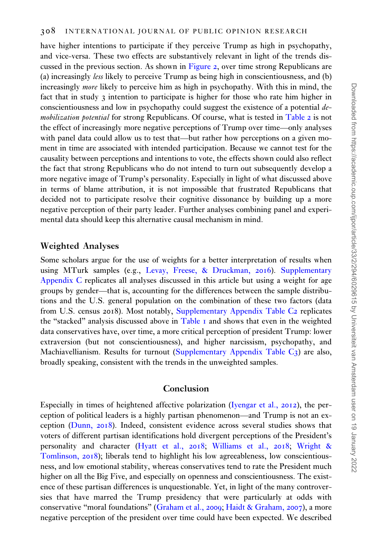have higher intentions to participate if they perceive Trump as high in psychopathy, and vice-versa. These two effects are substantively relevant in light of the trends discussed in the previous section. As shown in [Figure](#page-10-0) 2, over time strong Republicans are (a) increasingly less likely to perceive Trump as being high in conscientiousness, and (b) increasingly more likely to perceive him as high in psychopathy. With this in mind, the fact that in study 3 intention to participate is higher for those who rate him higher in conscientiousness and low in psychopathy could suggest the existence of a potential de-mobilization potential for strong Republicans. Of course, what is tested in [Table](#page-13-0) 2 is not the effect of increasingly more negative perceptions of Trump over time—only analyses with panel data could allow us to test that—but rather how perceptions on a given moment in time are associated with intended participation. Because we cannot test for the causality between perceptions and intentions to vote, the effects shown could also reflect the fact that strong Republicans who do not intend to turn out subsequently develop a more negative image of Trump's personality. Especially in light of what discussed above in terms of blame attribution, it is not impossible that frustrated Republicans that decided not to participate resolve their cognitive dissonance by building up a more negative perception of their party leader. Further analyses combining panel and experimental data should keep this alternative causal mechanism in mind.

#### Weighted Analyses

Some scholars argue for the use of weights for a better interpretation of results when using MTurk samples (e.g., [Levay, Freese,](#page-19-0) & [Druckman,](#page-19-0) 2016). [Supplementary](https://academic.oup.com/ijpor/article-lookup/doi/10.1093/ijpor/edaa030#supplementary-data) [Appendix C](https://academic.oup.com/ijpor/article-lookup/doi/10.1093/ijpor/edaa030#supplementary-data) replicates all analyses discussed in this article but using a weight for age groups by gender—that is, accounting for the differences between the sample distributions and the U.S. general population on the combination of these two factors (data from U.S. census 2018). Most notably, [Supplementary Appendix](https://academic.oup.com/ijpor/article-lookup/doi/10.1093/ijpor/edaa030#supplementary-data) [Table C](#page-13-0)2 replicates the "stacked" analysis discussed above in [Table](#page-12-0) 1 and shows that even in the weighted data conservatives have, over time, a more critical perception of president Trump: lower extraversion (but not conscientiousness), and higher narcissism, psychopathy, and Machiavellianism. Results for turnout (Supplementary Appendix Table  $C_3$ ) are also, broadly speaking, consistent with the trends in the unweighted samples.

#### Conclusion

Especially in times of heightened affective polarization ([Iyengar et al.,](#page-19-0) 2012), the perception of political leaders is a highly partisan phenomenon—and Trump is not an exception ([Dunn,](#page-18-0) 2018). Indeed, consistent evidence across several studies shows that voters of different partisan identifications hold divergent perceptions of the President's personality and character ([Hyatt et al.,](#page-19-0) 2018; [Williams et al.,](#page-20-0) 2018; [Wright](#page-21-0) & [Tomlinson,](#page-21-0) 2018); liberals tend to highlight his low agreeableness, low conscientiousness, and low emotional stability, whereas conservatives tend to rate the President much higher on all the Big Five, and especially on openness and conscientiousness. The existence of these partisan differences is unquestionable. Yet, in light of the many controversies that have marred the Trump presidency that were particularly at odds with conservative "moral foundations" ([Graham et al.,](#page-19-0) 2009; [Haidt & Graham,](#page-19-0) 2007), a more negative perception of the president over time could have been expected. We described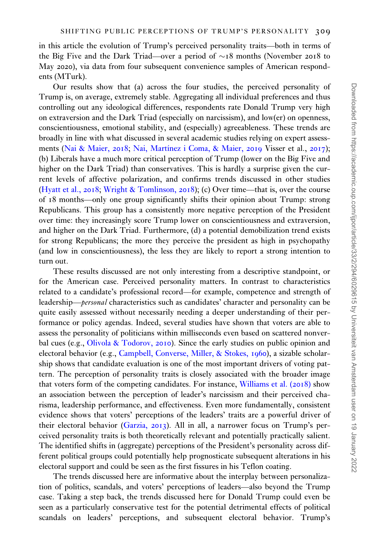in this article the evolution of Trump's perceived personality traits—both in terms of the Big Five and the Dark Triad—over a period of  $\sim$ 18 months (November 2018 to May 2020), via data from four subsequent convenience samples of American respondents (MTurk).

Our results show that (a) across the four studies, the perceived personality of Trump is, on average, extremely stable. Aggregating all individual preferences and thus controlling out any ideological differences, respondents rate Donald Trump very high on extraversion and the Dark Triad (especially on narcissism), and low(er) on openness, conscientiousness, emotional stability, and (especially) agreeableness. These trends are broadly in line with what discussed in several academic studies relying on expert assess-ments ([Nai & Maier,](#page-20-0) 2018; Nai, Martínez i Coma, & [Maier,](#page-20-0) 2019 Visser et al., [2017](#page-20-0)); (b) Liberals have a much more critical perception of Trump (lower on the Big Five and higher on the Dark Triad) than conservatives. This is hardly a surprise given the current levels of affective polarization, and confirms trends discussed in other studies [\(Hyatt et al.,](#page-19-0) 2018; [Wright & Tomlinson,](#page-21-0) 2018); (c) Over time—that is, over the course of 18 months—only one group significantly shifts their opinion about Trump: strong Republicans. This group has a consistently more negative perception of the President over time: they increasingly score Trump lower on conscientiousness and extraversion, and higher on the Dark Triad. Furthermore, (d) a potential demobilization trend exists for strong Republicans; the more they perceive the president as high in psychopathy (and low in conscientiousness), the less they are likely to report a strong intention to turn out.

These results discussed are not only interesting from a descriptive standpoint, or for the American case. Perceived personality matters. In contrast to characteristics related to a candidate's professional record—for example, competence and strength of leadership—personal characteristics such as candidates' character and personality can be quite easily assessed without necessarily needing a deeper understanding of their performance or policy agendas. Indeed, several studies have shown that voters are able to assess the personality of politicians within milliseconds even based on scattered nonverbal cues (e.g., [Olivola](#page-20-0) [& Todorov,](#page-20-0) 2010). Since the early studies on public opinion and electoral behavior (e.g., [Campbell, Converse, Miller,](#page-18-0) [& Stokes,](#page-18-0) 1960), a sizable scholarship shows that candidate evaluation is one of the most important drivers of voting pattern. The perception of personality traits is closely associated with the broader image that voters form of the competing candidates. For instance, Williams et al.  $(2018)$  show an association between the perception of leader's narcissism and their perceived charisma, leadership performance, and effectiveness. Even more fundamentally, consistent evidence shows that voters' perceptions of the leaders' traits are a powerful driver of their electoral behavior [\(Garzia,](#page-19-0) 2013). All in all, a narrower focus on Trump's perceived personality traits is both theoretically relevant and potentially practically salient. The identified shifts in (aggregate) perceptions of the President's personality across different political groups could potentially help prognosticate subsequent alterations in his electoral support and could be seen as the first fissures in his Teflon coating.

The trends discussed here are informative about the interplay between personalization of politics, scandals, and voters' perceptions of leaders—also beyond the Trump case. Taking a step back, the trends discussed here for Donald Trump could even be seen as a particularly conservative test for the potential detrimental effects of political scandals on leaders' perceptions, and subsequent electoral behavior. Trump's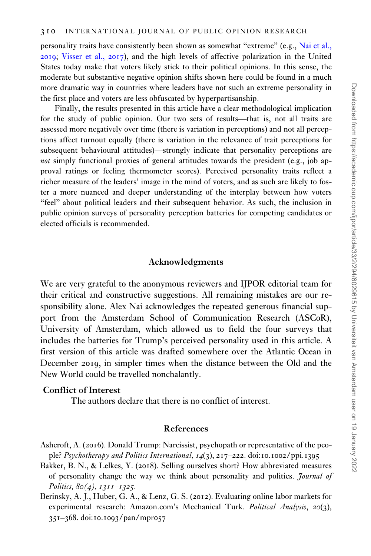<span id="page-17-0"></span>personality traits have consistently been shown as somewhat "extreme" (e.g., [Nai et al.,](#page-20-0) [2019](#page-20-0); [Visser et al.,](#page-20-0) 2017), and the high levels of affective polarization in the United States today make that voters likely stick to their political opinions. In this sense, the moderate but substantive negative opinion shifts shown here could be found in a much more dramatic way in countries where leaders have not such an extreme personality in the first place and voters are less obfuscated by hyperpartisanship.

Finally, the results presented in this article have a clear methodological implication for the study of public opinion. Our two sets of results—that is, not all traits are assessed more negatively over time (there is variation in perceptions) and not all perceptions affect turnout equally (there is variation in the relevance of trait perceptions for subsequent behavioural attitudes)—strongly indicate that personality perceptions are not simply functional proxies of general attitudes towards the president (e.g., job approval ratings or feeling thermometer scores). Perceived personality traits reflect a richer measure of the leaders' image in the mind of voters, and as such are likely to foster a more nuanced and deeper understanding of the interplay between how voters "feel" about political leaders and their subsequent behavior. As such, the inclusion in public opinion surveys of personality perception batteries for competing candidates or elected officials is recommended.

#### Acknowledgments

We are very grateful to the anonymous reviewers and IJPOR editorial team for their critical and constructive suggestions. All remaining mistakes are our responsibility alone. Alex Nai acknowledges the repeated generous financial support from the Amsterdam School of Communication Research (ASCoR), University of Amsterdam, which allowed us to field the four surveys that includes the batteries for Trump's perceived personality used in this article. A first version of this article was drafted somewhere over the Atlantic Ocean in December 2019, in simpler times when the distance between the Old and the New World could be travelled nonchalantly.

#### Conflict of Interest

The authors declare that there is no conflict of interest.

#### References

- Ashcroft, A. (2016). Donald Trump: Narcissist, psychopath or representative of the people? Psychotherapy and Politics International, 14(3), 217–222. doi:10.1002/ppi.1395
- Bakker, B. N., & Lelkes, Y. (2018). Selling ourselves short? How abbreviated measures of personality change the way we think about personality and politics. Journal of Politics,  $80(4)$ ,  $1311 - 1325$ .
- Berinsky, A. J., Huber, G. A., & Lenz, G. S. (2012). Evaluating online labor markets for experimental research: Amazon.com's Mechanical Turk. Political Analysis, 20(3), 351–368. doi:10.1093/pan/mpr057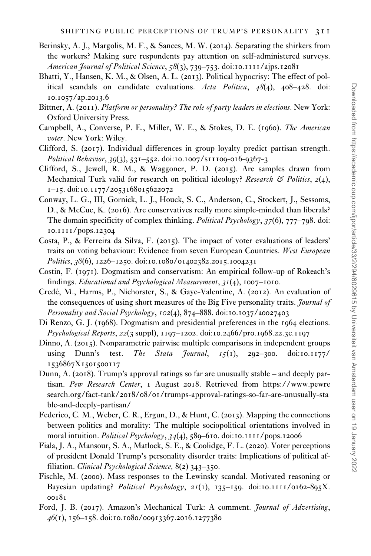- <span id="page-18-0"></span>Berinsky, A. J., Margolis, M. F., & Sances, M. W. (2014). Separating the shirkers from the workers? Making sure respondents pay attention on self-administered surveys. American Journal of Political Science, 58(3), 739–753. doi:10.1111/ajps.12081
- Bhatti, Y., Hansen, K. M., & Olsen, A. L. (2013). Political hypocrisy: The effect of political scandals on candidate evaluations. Acta Politica,  $48(4)$ ,  $408-428$ . doi: 10.1057/ap.2013.6
- Bittner, A. (2011). Platform or personality? The role of party leaders in elections. New York: Oxford University Press.
- Campbell, A., Converse, P. E., Miller, W. E., & Stokes, D. E. (1960). The American voter. New York: Wiley.
- Clifford, S. (2017). Individual differences in group loyalty predict partisan strength. Political Behavior, 39(3), 531–552. doi:10.1007/s11109-016-9367-3
- Clifford, S., Jewell, R. M., & Waggoner, P. D. (2015). Are samples drawn from Mechanical Turk valid for research on political ideology? Research  $\mathfrak S$  Politics, 2(4), 1–15. doi:10.1177/2053168015622072
- Conway, L. G., III, Gornick, L. J., Houck, S. C., Anderson, C., Stockert, J., Sessoms, D., & McCue, K. (2016). Are conservatives really more simple-minded than liberals? The domain specificity of complex thinking. *Political Psychology*, 37(6), 777–798. doi: 10.1111/pops.12304
- Costa, P., & Ferreira da Silva, F. (2015). The impact of voter evaluations of leaders' traits on voting behaviour: Evidence from seven European Countries. West European Politics, 38(6), 1226-1250. doi:10.1080/01402382.2015.1004231
- Costin, F. (1971). Dogmatism and conservatism: An empirical follow-up of Rokeach's findings. Educational and Psychological Measurement,  $3I(4)$ , 1007–1010.
- Credé, M., Harms, P., Niehorster, S., & Gaye-Valentine, A. (2012). An evaluation of the consequences of using short measures of the Big Five personality traits. *Journal of* Personality and Social Psychology, 102(4), 874–888. doi:10.1037/a0027403
- Di Renzo, G. J. (1968). Dogmatism and presidential preferences in the 1964 elections. Psychological Reports, 22(3 suppl), 1197–1202. doi:10.2466/pr0.1968.22.3c.1197
- Dinno, A. (2015). Nonparametric pairwise multiple comparisons in independent groups using Dunn's test. The Stata Journal,  $I_5(1)$ , 292–300. doi:10.1177/ 1536867X1501500117
- Dunn, A. (2018). Trump's approval ratings so far are unusually stable and deeply partisan. Pew Research Center, 1 August 2018. Retrieved from [https://www.pewre](https://www.pewresearch.org/fact-tank/2018/08/01/trumps-approval-ratings-so-far-are-unusually-stable-and-deeply-partisan/) search.org/fact-tank/2018/08/01[/trumps-approval-ratings-so-far-are-unusually-sta](https://www.pewresearch.org/fact-tank/2018/08/01/trumps-approval-ratings-so-far-are-unusually-stable-and-deeply-partisan/) [ble-and-deeply-partisan/](https://www.pewresearch.org/fact-tank/2018/08/01/trumps-approval-ratings-so-far-are-unusually-stable-and-deeply-partisan/)
- Federico, C. M., Weber, C. R., Ergun, D., & Hunt, C. (2013). Mapping the connections between politics and morality: The multiple sociopolitical orientations involved in moral intuition. *Political Psychology*, 34(4), 589–610. doi:10.1111/pops.12006
- Fiala, J. A., Mansour, S. A., Matlock, S. E., & Coolidge, F. L. (2020). Voter perceptions of president Donald Trump's personality disorder traits: Implications of political affiliation. Clinical Psychological Science, 8(2) 343–350.
- Fischle, M. (2000). Mass responses to the Lewinsky scandal. Motivated reasoning or Bayesian updating? Political Psychology, 21(1), 135-159. doi:10.1111/0162-895X. 00181
- Ford, J. B. (2017). Amazon's Mechanical Turk: A comment. Journal of Advertising, 46(1), 156–158. doi:10.1080/00913367.2016.1277380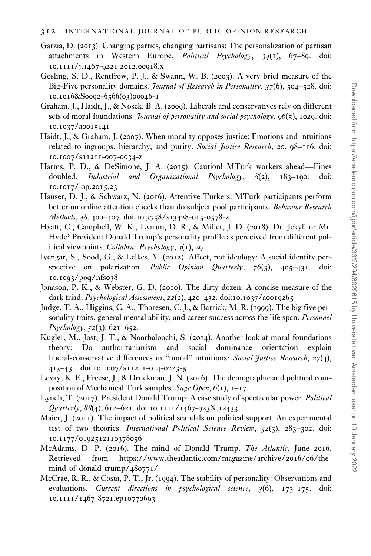- <span id="page-19-0"></span>Garzia, D. (2013). Changing parties, changing partisans: The personalization of partisan attachments in Western Europe. *Political Psychology*,  $34(1)$ ,  $67-89$ . doi: 10.1111/j.1467-9221.2012.00918.x
- Gosling, S. D., Rentfrow, P. J., & Swann, W. B. (2003). A very brief measure of the Big-Five personality domains. *Journal of Research in Personality*,  $37(6)$ ,  $504-528$ . doi: 10.1016&S0092-6566(03)00046-1
- Graham, J., Haidt, J., & Nosek, B. A. (2009). Liberals and conservatives rely on different sets of moral foundations. *Journal of personality and social psychology*,  $96(5)$ , 1029. doi: 10.1037/a0015141
- Haidt, J., & Graham, J. (2007). When morality opposes justice: Emotions and intuitions related to ingroups, hierarchy, and purity. Social Justice Research, 20, 98-116. doi: 10.1007/s11211-007-0034-z
- Harms, P. D., & DeSimone, J. A. (2015). Caution! MTurk workers ahead—Fines doubled. *Industrial and Organizational Psychology*,  $8(2)$ ,  $183-190$ . doi: 10.1017/iop.2015.23
- Hauser, D. J., & Schwarz, N. (2016). Attentive Turkers: MTurk participants perform better on online attention checks than do subject pool participants. Behavior Research Methods, 48, 400–407. doi:10.3758/s13428-015-0578-z
- Hyatt, C., Campbell, W. K., Lynam, D. R., & Miller, J. D. (2018). Dr. Jekyll or Mr. Hyde? President Donald Trump's personality profile as perceived from different political viewpoints. Collabra:  $Psychology, 4(1), 29$ .
- Iyengar, S., Sood, G., & Lelkes, Y. (2012). Affect, not ideology: A social identity perspective on polarization. *Public Opinion Quarterly*,  $76(3)$ ,  $405-431$ . doi: 10.1093/poq/nfs038
- Jonason, P. K., & Webster, G. D. (2010). The dirty dozen: A concise measure of the dark triad. Psychological Assessment, 22(2), 420–432. doi:10.1037/a0019265
- Judge, T. A., Higgins, C. A., Thoresen, C. J., & Barrick, M. R. (1999). The big five personality traits, general mental ability, and career success across the life span. *Personnel*  $P<sub>s</sub>$ *ychology*,  $52(3)$ : 621–652.
- Kugler, M., Jost, J. T., & Noorbaloochi, S. (2014). Another look at moral foundations theory: Do authoritarianism and social dominance orientation explain liberal-conservative differences in "moral" intuitions? Social Justice Research,  $27(4)$ , 413–431. doi:10.1007/s11211-014-0223-5
- Levay, K. E., Freese, J., & Druckman, J. N. (2016). The demographic and political composition of Mechanical Turk samples. Sage Open,  $6(1)$ ,  $1-17$ .
- Lynch, T. (2017). President Donald Trump: A case study of spectacular power. *Political Quarterly*,  $88(4)$ ,  $612-621$ . doi:10.1111/1467-923X.12433
- Maier, J. (2011). The impact of political scandals on political support. An experimental test of two theories. International Political Science Review, 32(3), 283–302. doi: 10.1177/0192512110378056
- McAdams, D. P. (2016). The mind of Donald Trump. The Atlantic, June 2016. Retrieved from [https://www.theatlantic.com/magazine/archive/](https://www.theatlantic.com/magazine/archive/2016/06/the-mind-of-donald-trump/480771/)2016/06/the[mind-of-donald-trump/](https://www.theatlantic.com/magazine/archive/2016/06/the-mind-of-donald-trump/480771/)480771/
- McCrae, R. R., & Costa, P. T., Jr. (1994). The stability of personality: Observations and evaluations. Current directions in psychological science, 3(6), 173-175. doi: 10.1111/1467-8721.ep10770693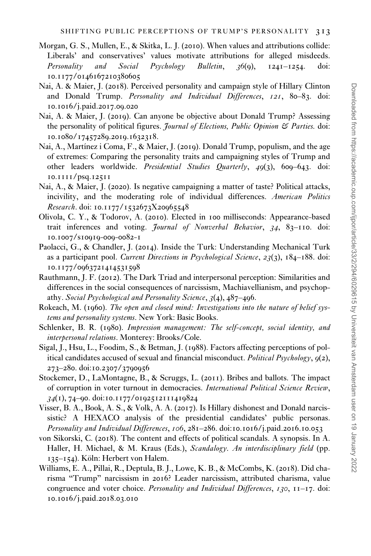- <span id="page-20-0"></span>Morgan, G. S., Mullen, E., & Skitka, L. J. (2010). When values and attributions collide: Liberals' and conservatives' values motivate attributions for alleged misdeeds. Personality and Social Psychology Bulletin,  $36(9)$ ,  $1241-1254$ . doi: 10.1177/0146167210380605
- Nai, A. & Maier, J. (2018). Perceived personality and campaign style of Hillary Clinton and Donald Trump. Personality and Individual Differences, 121, 80–83. doi: 10.1016/j.paid.2017.09.020
- Nai, A. & Maier, J. (2019). Can anyone be objective about Donald Trump? Assessing the personality of political figures. *Journal of Elections*, *Public Opinion*  $\mathfrak{S}$  *Parties.* doi: 10.1080/17457289.2019.1632318.
- Nai, A., Martínez i Coma, F., & Maier, J. (2019). Donald Trump, populism, and the age of extremes: Comparing the personality traits and campaigning styles of Trump and other leaders worldwide. *Presidential Studies Quarterly*,  $49(3)$ ,  $609-643$ . doi: 10.1111/psq.12511
- Nai, A., & Maier, J. (2020). Is negative campaigning a matter of taste? Political attacks, incivility, and the moderating role of individual differences. American Politics Research. doi: 10.1177/1532673X20965548
- Olivola, C. Y., & Todorov, A. (2010). Elected in 100 milliseconds: Appearance-based trait inferences and voting. *Journal of Nonverbal Behavior*, 34, 83-110. doi: 10.1007/s10919-009-0082-1
- Paolacci, G., & Chandler, J. (2014). Inside the Turk: Understanding Mechanical Turk as a participant pool. Current Directions in Psychological Science,  $23(3)$ ,  $184-188$ . doi: 10.1177/0963721414531598
- Rauthmann, J. F. (2012). The Dark Triad and interpersonal perception: Similarities and differences in the social consequences of narcissism, Machiavellianism, and psychopathy. Social Psychological and Personality Science, 3(4), 487–496.
- Rokeach, M. (1960). The open and closed mind: Investigations into the nature of belief systems and personality systems. New York: Basic Books.
- Schlenker, B. R. (1980). Impression management: The self-concept, social identity, and interpersonal relations. Monterey: Brooks/Cole.
- Sigal, J., Hsu, L., Foodim, S., & Betman, J. (1988). Factors affecting perceptions of political candidates accused of sexual and financial misconduct. *Political Psychology*,  $q(z)$ , 273–280. doi:10.2307/3790956
- Stockemer, D., LaMontagne, B., & Scruggs, L. (2011). Bribes and ballots. The impact of corruption in voter turnout in democracies. International Political Science Review, 34(1), 74–90. doi:10.1177/0192512111419824
- Visser, B. A., Book, A. S., & Volk, A. A. (2017). Is Hillary dishonest and Donald narcissistic? A HEXACO analysis of the presidential candidates' public personas. Personality and Individual Differences, 106, 281–286. doi:10.1016/j.paid.2016.10.053
- von Sikorski, C. (2018). The content and effects of political scandals. A synopsis. In A. Haller, H. Michael, & M. Kraus (Eds.), Scandalogy. An interdisciplinary field (pp.  $135-154$ ). Köln: Herbert von Halem.
- Williams, E. A., Pillai, R., Deptula, B. J., Lowe, K. B., & McCombs, K. (2018). Did charisma "Trump" narcissism in 2016? Leader narcissism, attributed charisma, value congruence and voter choice. *Personality and Individual Differences*, 130,  $11-17$ . doi: 10.1016/j.paid.2018.03.010